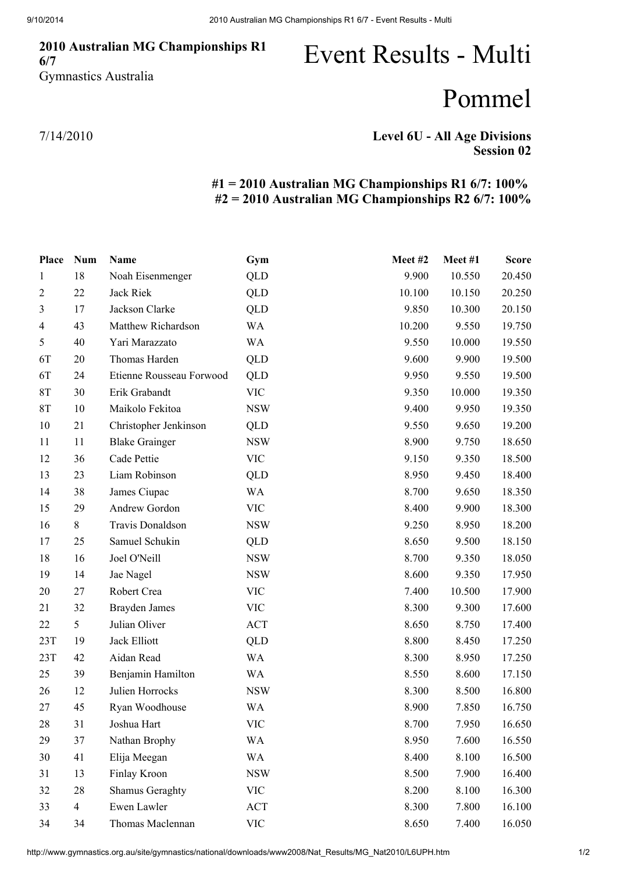### Australian MG Championships R1 6/7 Gymnastics Australia

# Event Results - Multi

## Pommel

7/14/2010

### Level 6U - All Age Divisions Session 02

### #1 = 2010 Australian MG Championships R1 6/7: 100% #2 = 2010 Australian MG Championships R2 6/7: 100%

| Place          | <b>Num</b>     | <b>Name</b>              | Gym        | Meet#2 | Meet #1 | <b>Score</b> |
|----------------|----------------|--------------------------|------------|--------|---------|--------------|
| 1              | 18             | Noah Eisenmenger         | <b>QLD</b> | 9.900  | 10.550  | 20.450       |
| $\overline{2}$ | 22             | Jack Riek                | QLD        | 10.100 | 10.150  | 20.250       |
| 3              | 17             | Jackson Clarke           | <b>QLD</b> | 9.850  | 10.300  | 20.150       |
| 4              | 43             | Matthew Richardson       | <b>WA</b>  | 10.200 | 9.550   | 19.750       |
| $\mathfrak s$  | 40             | Yari Marazzato           | <b>WA</b>  | 9.550  | 10.000  | 19.550       |
| 6T             | 20             | Thomas Harden            | <b>QLD</b> | 9.600  | 9.900   | 19.500       |
| 6T             | 24             | Etienne Rousseau Forwood | QLD        | 9.950  | 9.550   | 19.500       |
| <b>8T</b>      | 30             | Erik Grabandt            | <b>VIC</b> | 9.350  | 10.000  | 19.350       |
| 8T             | 10             | Maikolo Fekitoa          | <b>NSW</b> | 9.400  | 9.950   | 19.350       |
| 10             | 21             | Christopher Jenkinson    | QLD        | 9.550  | 9.650   | 19.200       |
| 11             | 11             | <b>Blake Grainger</b>    | <b>NSW</b> | 8.900  | 9.750   | 18.650       |
| 12             | 36             | Cade Pettie              | <b>VIC</b> | 9.150  | 9.350   | 18.500       |
| 13             | 23             | Liam Robinson            | QLD        | 8.950  | 9.450   | 18.400       |
| 14             | 38             | James Ciupac             | <b>WA</b>  | 8.700  | 9.650   | 18.350       |
| 15             | 29             | Andrew Gordon            | <b>VIC</b> | 8.400  | 9.900   | 18.300       |
| 16             | 8              | Travis Donaldson         | <b>NSW</b> | 9.250  | 8.950   | 18.200       |
| 17             | 25             | Samuel Schukin           | QLD        | 8.650  | 9.500   | 18.150       |
| 18             | 16             | Joel O'Neill             | <b>NSW</b> | 8.700  | 9.350   | 18.050       |
| 19             | 14             | Jae Nagel                | <b>NSW</b> | 8.600  | 9.350   | 17.950       |
| 20             | 27             | Robert Crea              | <b>VIC</b> | 7.400  | 10.500  | 17.900       |
| 21             | 32             | <b>Brayden James</b>     | <b>VIC</b> | 8.300  | 9.300   | 17.600       |
| 22             | 5              | Julian Oliver            | ACT        | 8.650  | 8.750   | 17.400       |
| 23T            | 19             | Jack Elliott             | QLD        | 8.800  | 8.450   | 17.250       |
| 23T            | 42             | Aidan Read               | <b>WA</b>  | 8.300  | 8.950   | 17.250       |
| 25             | 39             | Benjamin Hamilton        | <b>WA</b>  | 8.550  | 8.600   | 17.150       |
| 26             | 12             | Julien Horrocks          | <b>NSW</b> | 8.300  | 8.500   | 16.800       |
| 27             | 45             | Ryan Woodhouse           | <b>WA</b>  | 8.900  | 7.850   | 16.750       |
| 28             | 31             | Joshua Hart              | <b>VIC</b> | 8.700  | 7.950   | 16.650       |
| 29             | 37             | Nathan Brophy            | <b>WA</b>  | 8.950  | 7.600   | 16.550       |
| 30             | 41             | Elija Meegan             | <b>WA</b>  | 8.400  | 8.100   | 16.500       |
| 31             | 13             | Finlay Kroon             | <b>NSW</b> | 8.500  | 7.900   | 16.400       |
| 32             | 28             | <b>Shamus Geraghty</b>   | <b>VIC</b> | 8.200  | 8.100   | 16.300       |
| 33             | $\overline{4}$ | Ewen Lawler              | ACT        | 8.300  | 7.800   | 16.100       |
| 34             | 34             | Thomas Maclennan         | <b>VIC</b> | 8.650  | 7.400   | 16.050       |